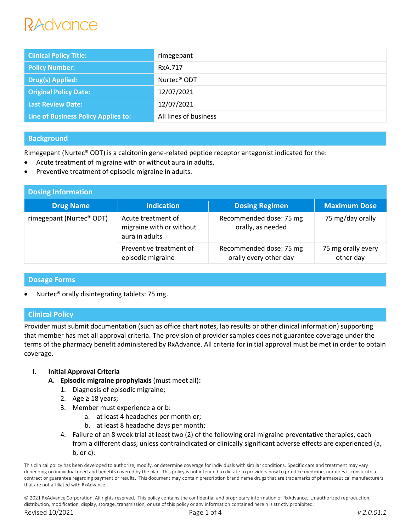# ANNUNCA

| <b>Clinical Policy Title:</b>       | rimegepant              |
|-------------------------------------|-------------------------|
| <b>Policy Number:</b>               | RxA.717                 |
| <b>Drug(s) Applied:</b>             | Nurtec <sup>®</sup> ODT |
| <b>Original Policy Date:</b>        | 12/07/2021              |
| <b>Last Review Date:</b>            | 12/07/2021              |
| Line of Business Policy Applies to: | All lines of business   |

# **Background**

Rimegepant (Nurtec® ODT) is a calcitonin gene-related peptide receptor antagonist indicated for the:

- Acute treatment of migraine with or without aura in adults.
- Preventive treatment of episodic migraine in adults.

| <b>Dosing Information</b> |                                                                  |                                                   |                                 |  |  |
|---------------------------|------------------------------------------------------------------|---------------------------------------------------|---------------------------------|--|--|
| <b>Drug Name</b>          | <b>Indication</b>                                                | <b>Dosing Regimen</b>                             | <b>Maximum Dose</b>             |  |  |
| rimegepant (Nurtec® ODT)  | Acute treatment of<br>migraine with or without<br>aura in adults | Recommended dose: 75 mg<br>orally, as needed      | 75 mg/day orally                |  |  |
|                           | Preventive treatment of<br>episodic migraine                     | Recommended dose: 75 mg<br>orally every other day | 75 mg orally every<br>other day |  |  |

## **Dosage Forms**

Nurtec® orally disintegrating tablets: 75 mg.

# **Clinical Policy**

Provider must submit documentation (such as office chart notes, lab results or other clinical information) supporting that member has met all approval criteria. The provision of provider samples does not guarantee coverage under the terms of the pharmacy benefit administered by RxAdvance. All criteria for initial approval must be met in order to obtain coverage.

# **I. Initial Approval Criteria**

- **A. Episodic migraine prophylaxis** (must meet all)**:**
	- 1. Diagnosis of episodic migraine;
	- 2. Age  $\geq$  18 years;
	- 3. Member must experience a or b:
		- a. at least 4 headaches per month or;
		- b. at least 8 headache days per month;
	- 4. Failure of an 8 week trial at least two (2) of the following oral migraine preventative therapies, each from a different class, unless contraindicated or clinically significant adverse effects are experienced (a, b, or c):

This clinical policy has been developed to authorize, modify, or determine coverage for individuals with similar conditions. Specific care and treatment may vary depending on individual need and benefits covered by the plan. This policy is not intended to dictate to providers how to practice medicine, nor does it constitute a contract or guarantee regarding payment or results. This document may contain prescription brand name drugs that are trademarks of pharmaceutical manufacturers that are not affiliated with RxAdvance.

© 2021 RxAdvance Corporation. All rights reserved. This policy contains the confidential and proprietary information of RxAdvance. Unauthorized reproduction, distribution, modification, display, storage, transmission, or use of this policy or any information contained herein is strictly prohibited. Revised 10/2021 Page 1 of 4 *v 2.0.01.1*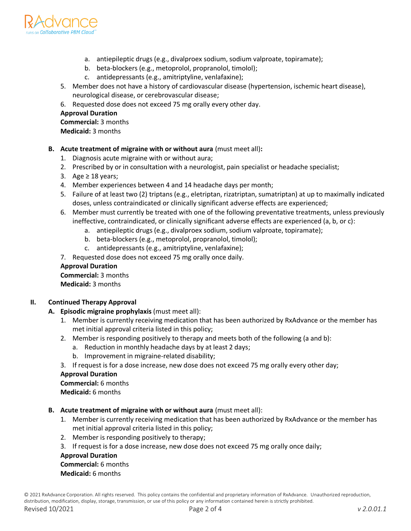

- a. antiepileptic drugs (e.g., divalproex sodium, sodium valproate, topiramate);
- b. beta-blockers (e.g., metoprolol, propranolol, timolol);
- c. antidepressants (e.g., amitriptyline, venlafaxine);
- 5. Member does not have a history of cardiovascular disease (hypertension, ischemic heart disease), neurological disease, or cerebrovascular disease;
- 6. Requested dose does not exceed 75 mg orally every other day.

#### **Approval Duration**

**Commercial:** 3 months **Medicaid:** 3 months

- **B. Acute treatment of migraine with or without aura** (must meet all)**:**
	- 1. Diagnosis acute migraine with or without aura;
	- 2. Prescribed by or in consultation with a neurologist, pain specialist or headache specialist;
	- 3. Age  $\geq$  18 years;
	- 4. Member experiences between 4 and 14 headache days per month;
	- 5. Failure of at least two (2) triptans (e.g., eletriptan, rizatriptan, sumatriptan) at up to maximally indicated doses, unless contraindicated or clinically significant adverse effects are experienced;
	- 6. Member must currently be treated with one of the following preventative treatments, unless previously ineffective, contraindicated, or clinically significant adverse effects are experienced (a, b, or c):
		- a. antiepileptic drugs (e.g., divalproex sodium, sodium valproate, topiramate);
		- b. beta-blockers (e.g., metoprolol, propranolol, timolol);
		- c. antidepressants (e.g., amitriptyline, venlafaxine);
	- 7. Requested dose does not exceed 75 mg orally once daily.

#### **Approval Duration**

**Commercial:** 3 months **Medicaid:** 3 months

## **II. Continued Therapy Approval**

#### **A. Episodic migraine prophylaxis** (must meet all):

- 1. Member is currently receiving medication that has been authorized by RxAdvance or the member has met initial approval criteria listed in this policy;
- 2. Member is responding positively to therapy and meets both of the following (a and b):
	- a. Reduction in monthly headache days by at least 2 days;
	- b. Improvement in migraine-related disability;
- 3. If request is for a dose increase, new dose does not exceed 75 mg orally every other day;

#### **Approval Duration**

**Commercial:** 6 months **Medicaid:** 6 months

- **B. Acute treatment of migraine with or without aura** (must meet all):
	- 1. Member is currently receiving medication that has been authorized by RxAdvance or the member has met initial approval criteria listed in this policy;
	- 2. Member is responding positively to therapy;
	- 3. If request is for a dose increase, new dose does not exceed 75 mg orally once daily;

## **Approval Duration**

## **Commercial:** 6 months

**Medicaid:** 6 months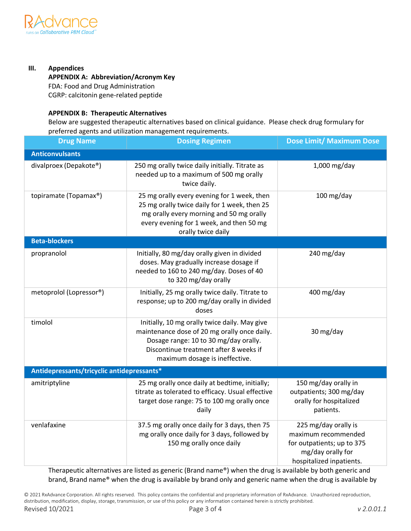

## **III. Appendices**

# **APPENDIX A: Abbreviation/Acronym Key**

FDA: Food and Drug Administration CGRP: calcitonin gene-related peptide

## **APPENDIX B: Therapeutic Alternatives**

Below are suggested therapeutic alternatives based on clinical guidance. Please check drug formulary for preferred agents and utilization management requirements.

| <b>Drug Name</b>                           | <b>Dosing Regimen</b>                                                                                                                                                                                              | <b>Dose Limit/ Maximum Dose</b>                                                                                            |  |  |  |
|--------------------------------------------|--------------------------------------------------------------------------------------------------------------------------------------------------------------------------------------------------------------------|----------------------------------------------------------------------------------------------------------------------------|--|--|--|
| <b>Anticonvulsants</b>                     |                                                                                                                                                                                                                    |                                                                                                                            |  |  |  |
| divalproex (Depakote®)                     | 250 mg orally twice daily initially. Titrate as<br>needed up to a maximum of 500 mg orally<br>twice daily.                                                                                                         | 1,000 mg/day                                                                                                               |  |  |  |
| topiramate (Topamax®)                      | 25 mg orally every evening for 1 week, then<br>25 mg orally twice daily for 1 week, then 25<br>mg orally every morning and 50 mg orally<br>every evening for 1 week, and then 50 mg<br>orally twice daily          | 100 mg/day                                                                                                                 |  |  |  |
| <b>Beta-blockers</b>                       |                                                                                                                                                                                                                    |                                                                                                                            |  |  |  |
| propranolol                                | Initially, 80 mg/day orally given in divided<br>doses. May gradually increase dosage if<br>needed to 160 to 240 mg/day. Doses of 40<br>to 320 mg/day orally                                                        | 240 mg/day                                                                                                                 |  |  |  |
| metoprolol (Lopressor®)                    | Initially, 25 mg orally twice daily. Titrate to<br>response; up to 200 mg/day orally in divided<br>doses                                                                                                           | 400 mg/day                                                                                                                 |  |  |  |
| timolol                                    | Initially, 10 mg orally twice daily. May give<br>maintenance dose of 20 mg orally once daily.<br>Dosage range: 10 to 30 mg/day orally.<br>Discontinue treatment after 8 weeks if<br>maximum dosage is ineffective. | 30 mg/day                                                                                                                  |  |  |  |
| Antidepressants/tricyclic antidepressants* |                                                                                                                                                                                                                    |                                                                                                                            |  |  |  |
| amitriptyline                              | 25 mg orally once daily at bedtime, initially;<br>titrate as tolerated to efficacy. Usual effective<br>target dose range: 75 to 100 mg orally once<br>daily                                                        | 150 mg/day orally in<br>outpatients; 300 mg/day<br>orally for hospitalized<br>patients.                                    |  |  |  |
| venlafaxine                                | 37.5 mg orally once daily for 3 days, then 75<br>mg orally once daily for 3 days, followed by<br>150 mg orally once daily                                                                                          | 225 mg/day orally is<br>maximum recommended<br>for outpatients; up to 375<br>mg/day orally for<br>hospitalized inpatients. |  |  |  |

Therapeutic alternatives are listed as generic (Brand name®) when the drug is available by both generic and brand, Brand name® when the drug is available by brand only and generic name when the drug is available by